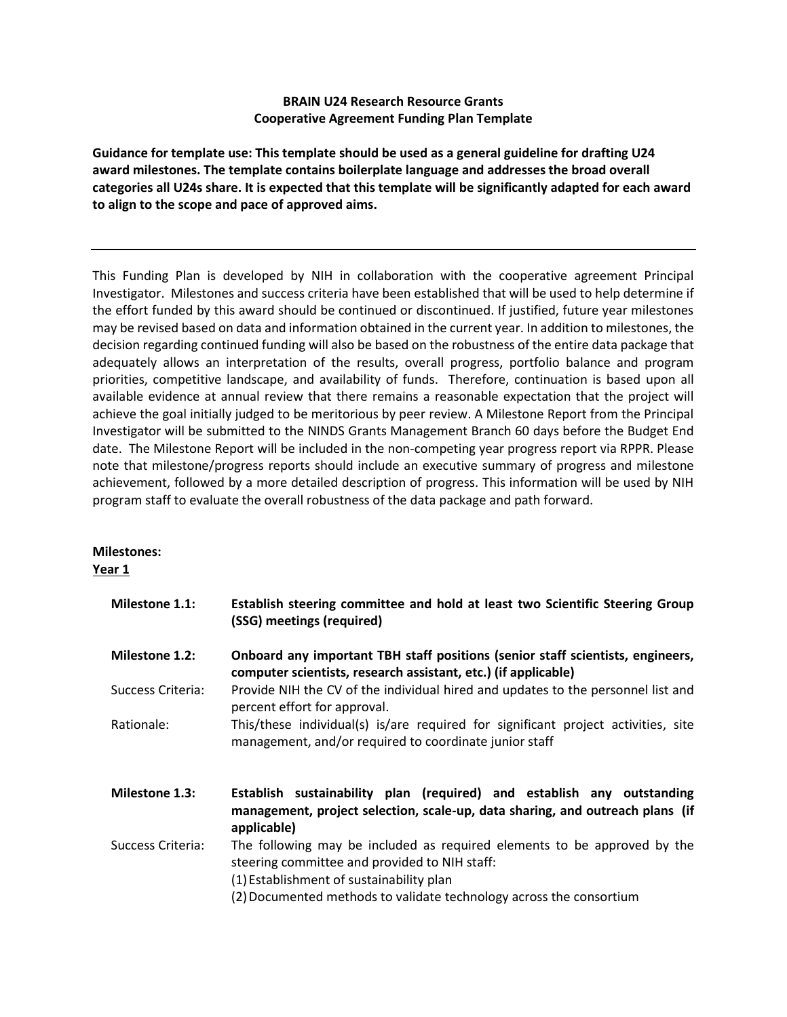## **BRAIN U24 Research Resource Grants Cooperative Agreement Funding Plan Template**

**Guidance for template use: This template should be used as a general guideline for drafting U24 award milestones. The template contains boilerplate language and addresses the broad overall categories all U24s share. It is expected that this template will be significantly adapted for each award to align to the scope and pace of approved aims.** 

This Funding Plan is developed by NIH in collaboration with the cooperative agreement Principal Investigator. Milestones and success criteria have been established that will be used to help determine if the effort funded by this award should be continued or discontinued. If justified, future year milestones may be revised based on data and information obtained in the current year. In addition to milestones, the decision regarding continued funding will also be based on the robustness of the entire data package that adequately allows an interpretation of the results, overall progress, portfolio balance and program priorities, competitive landscape, and availability of funds. Therefore, continuation is based upon all available evidence at annual review that there remains a reasonable expectation that the project will achieve the goal initially judged to be meritorious by peer review. A Milestone Report from the Principal Investigator will be submitted to the NINDS Grants Management Branch 60 days before the Budget End date. The Milestone Report will be included in the non-competing year progress report via RPPR. Please note that milestone/progress reports should include an executive summary of progress and milestone achievement, followed by a more detailed description of progress. This information will be used by NIH program staff to evaluate the overall robustness of the data package and path forward.

## **Milestones: Year 1**

| <b>Milestone 1.1:</b> | Establish steering committee and hold at least two Scientific Steering Group<br>(SSG) meetings (required)                                                                                                                                    |
|-----------------------|----------------------------------------------------------------------------------------------------------------------------------------------------------------------------------------------------------------------------------------------|
| <b>Milestone 1.2:</b> | Onboard any important TBH staff positions (senior staff scientists, engineers,<br>computer scientists, research assistant, etc.) (if applicable)                                                                                             |
| Success Criteria:     | Provide NIH the CV of the individual hired and updates to the personnel list and<br>percent effort for approval.                                                                                                                             |
| Rationale:            | This/these individual(s) is/are required for significant project activities, site<br>management, and/or required to coordinate junior staff                                                                                                  |
| <b>Milestone 1.3:</b> | Establish sustainability plan (required) and establish any outstanding<br>management, project selection, scale-up, data sharing, and outreach plans (if<br>applicable)                                                                       |
| Success Criteria:     | The following may be included as required elements to be approved by the<br>steering committee and provided to NIH staff:<br>(1) Establishment of sustainability plan<br>(2) Documented methods to validate technology across the consortium |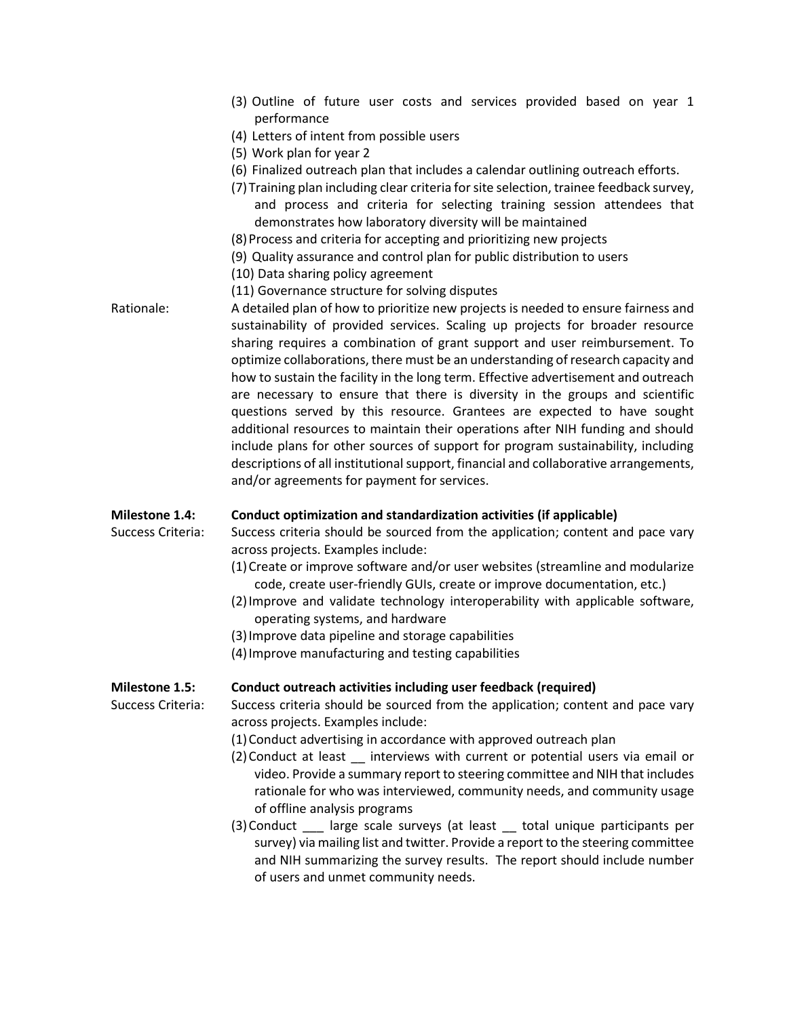|             |  |  |  |  |  | (3) Outline of future user costs and services provided based on year 1 |  |  |
|-------------|--|--|--|--|--|------------------------------------------------------------------------|--|--|
| performance |  |  |  |  |  |                                                                        |  |  |

- (4) Letters of intent from possible users
- (5) Work plan for year 2
- (6) Finalized outreach plan that includes a calendar outlining outreach efforts.
- (7)Training plan including clear criteria for site selection, trainee feedback survey, and process and criteria for selecting training session attendees that demonstrates how laboratory diversity will be maintained
- (8)Process and criteria for accepting and prioritizing new projects
- (9) Quality assurance and control plan for public distribution to users
- (10) Data sharing policy agreement
- (11) Governance structure for solving disputes
- Rationale: A detailed plan of how to prioritize new projects is needed to ensure fairness and sustainability of provided services. Scaling up projects for broader resource sharing requires a combination of grant support and user reimbursement. To optimize collaborations, there must be an understanding of research capacity and how to sustain the facility in the long term. Effective advertisement and outreach are necessary to ensure that there is diversity in the groups and scientific questions served by this resource. Grantees are expected to have sought additional resources to maintain their operations after NIH funding and should include plans for other sources of support for program sustainability, including descriptions of all institutional support, financial and collaborative arrangements, and/or agreements for payment for services.

#### **Milestone 1.4: Conduct optimization and standardization activities (if applicable)**

Success Criteria: Success criteria should be sourced from the application; content and pace vary across projects. Examples include:

- (1)Create or improve software and/or user websites (streamline and modularize code, create user-friendly GUIs, create or improve documentation, etc.)
- (2)Improve and validate technology interoperability with applicable software, operating systems, and hardware
- (3)Improve data pipeline and storage capabilities
- (4)Improve manufacturing and testing capabilities

#### **Milestone 1.5: Conduct outreach activities including user feedback (required)**

Success Criteria: Success criteria should be sourced from the application; content and pace vary across projects. Examples include:

- (1)Conduct advertising in accordance with approved outreach plan
- (2)Conduct at least \_\_ interviews with current or potential users via email or video. Provide a summary report to steering committee and NIH that includes rationale for who was interviewed, community needs, and community usage of offline analysis programs
- (3)Conduct \_\_\_ large scale surveys (at least \_\_ total unique participants per survey) via mailing list and twitter. Provide a report to the steering committee and NIH summarizing the survey results. The report should include number of users and unmet community needs.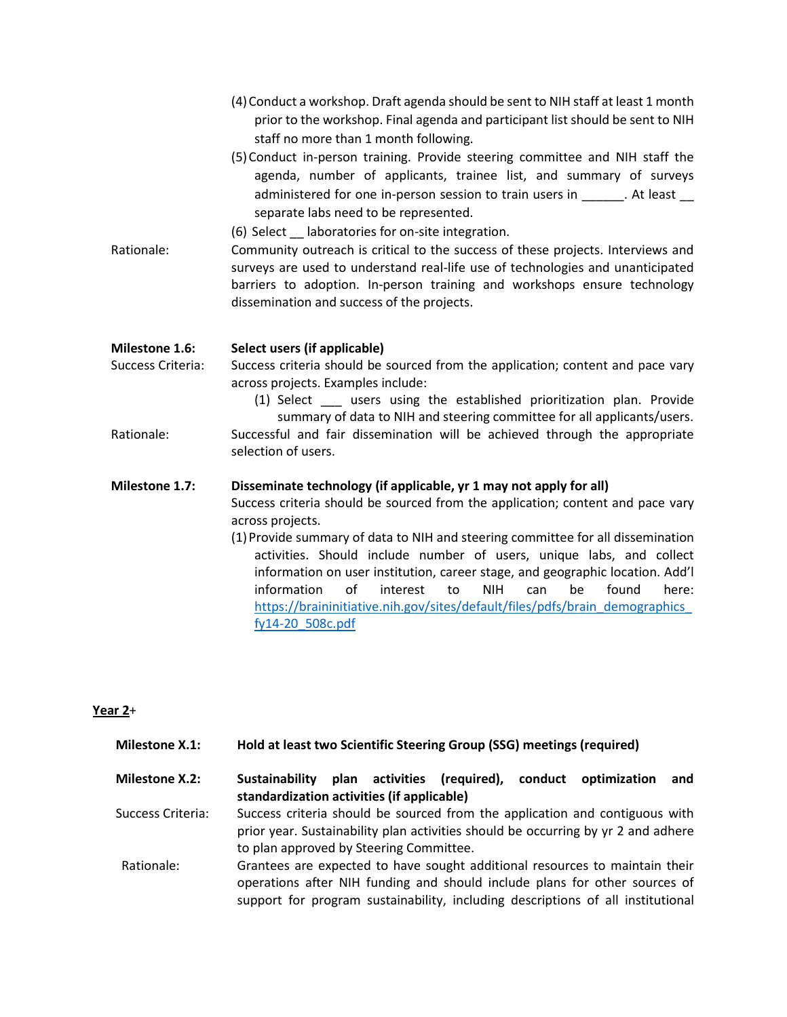|                   | (4) Conduct a workshop. Draft agenda should be sent to NIH staff at least 1 month<br>prior to the workshop. Final agenda and participant list should be sent to NIH<br>staff no more than 1 month following.<br>(5) Conduct in-person training. Provide steering committee and NIH staff the<br>agenda, number of applicants, trainee list, and summary of surveys<br>administered for one in-person session to train users in _______. At least __<br>separate labs need to be represented.<br>(6) Select __ laboratories for on-site integration.                                                                 |  |  |  |  |  |  |
|-------------------|---------------------------------------------------------------------------------------------------------------------------------------------------------------------------------------------------------------------------------------------------------------------------------------------------------------------------------------------------------------------------------------------------------------------------------------------------------------------------------------------------------------------------------------------------------------------------------------------------------------------|--|--|--|--|--|--|
| Rationale:        | Community outreach is critical to the success of these projects. Interviews and<br>surveys are used to understand real-life use of technologies and unanticipated<br>barriers to adoption. In-person training and workshops ensure technology<br>dissemination and success of the projects.                                                                                                                                                                                                                                                                                                                         |  |  |  |  |  |  |
| Milestone 1.6:    | Select users (if applicable)                                                                                                                                                                                                                                                                                                                                                                                                                                                                                                                                                                                        |  |  |  |  |  |  |
| Success Criteria: | Success criteria should be sourced from the application; content and pace vary<br>across projects. Examples include:<br>(1) Select ____ users using the established prioritization plan. Provide<br>summary of data to NIH and steering committee for all applicants/users.                                                                                                                                                                                                                                                                                                                                         |  |  |  |  |  |  |
| Rationale:        | Successful and fair dissemination will be achieved through the appropriate<br>selection of users.                                                                                                                                                                                                                                                                                                                                                                                                                                                                                                                   |  |  |  |  |  |  |
| Milestone 1.7:    | Disseminate technology (if applicable, yr 1 may not apply for all)<br>Success criteria should be sourced from the application; content and pace vary<br>across projects.<br>(1) Provide summary of data to NIH and steering committee for all dissemination<br>activities. Should include number of users, unique labs, and collect<br>information on user institution, career stage, and geographic location. Add'l<br>information<br>$\alpha$ f<br>interest<br>to<br><b>NIH</b><br>can<br>be<br>found<br>here:<br>https://braininitiative.nih.gov/sites/default/files/pdfs/brain demographics<br>fy14-20 508c.pdf |  |  |  |  |  |  |

# **Year 2**+

| Milestone X.1: | Hold at least two Scientific Steering Group (SSG) meetings (required) |  |
|----------------|-----------------------------------------------------------------------|--|
|----------------|-----------------------------------------------------------------------|--|

**Milestone X.2: Sustainability plan activities (required), conduct optimization and standardization activities (if applicable)** Success Criteria: Success criteria should be sourced from the application and contiguous with prior year. Sustainability plan activities should be occurring by yr 2 and adhere

to plan approved by Steering Committee. Rationale: Grantees are expected to have sought additional resources to maintain their operations after NIH funding and should include plans for other sources of support for program sustainability, including descriptions of all institutional